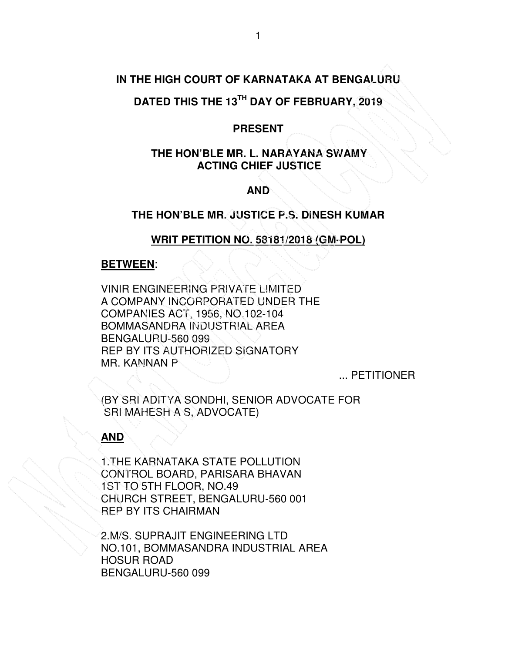# **IN THE HIGH COURT OF KARNATAKA AT BENGALURU**

# **DATED THIS THE 13TH DAY OF FEBRUARY, 2019**

### **PRESENT**

# **THE HON'BLE MR. L. NARAYANA SWAMY ACTING CHIEF JUSTICE**

## **AND**

# **THE HON'BLE MR. JUSTICE P.S. DINESH KUMAR**

# **WRIT PETITION NO. 58181/2018 (GM-POL)**

#### **BETWEEN**:

VINIR ENGINEERING PRIVATE LIMITED A COMPANY INCORPORATED UNDER THE COMPANIES ACT, 1956, NO.102-104 BOMMASANDRA INDUSTRIAL AREA BENGALURU-560 099 REP BY ITS AUTHORIZED SIGNATORY MR. KANNAN P

... PETITIONER

(BY SRI ADITYA SONDHI, SENIOR ADVOCATE FOR SRI MAHESH A S, ADVOCATE)

#### **AND**

1.THE KARNATAKA STATE POLLUTION CONTROL BOARD, PARISARA BHAVAN 1ST TO 5TH FLOOR, NO.49 CHURCH STREET, BENGALURU-560 001 REP BY ITS CHAIRMAN

2.M/S. SUPRAJIT ENGINEERING LTD NO.101, BOMMASANDRA INDUSTRIAL AREA HOSUR ROAD BENGALURU-560 099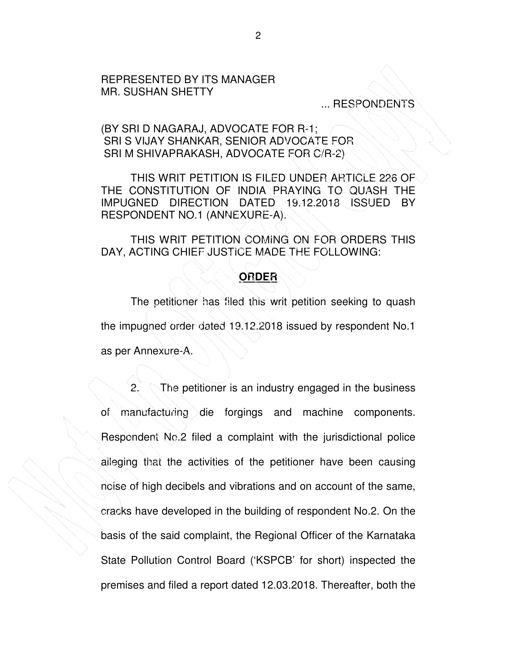### REPRESENTED BY ITS MANAGER MR. SUSHAN SHETTY

## ... RESPONDENTS

### (BY SRI D NAGARAJ, ADVOCATE FOR R-1; SRI S VIJAY SHANKAR, SENIOR ADVOCATE FOR SRI M SHIVAPRAKASH, ADVOCATE FOR C/R-2)

THIS WRIT PETITION IS FILED UNDER ARTICLE 226 OF THE CONSTITUTION OF INDIA PRAYING TO QUASH THE IMPUGNED DIRECTION DATED 19.12.2018 ISSUED BY RESPONDENT NO.1 (ANNEXURE-A).

 THIS WRIT PETITION COMING ON FOR ORDERS THIS DAY, ACTING CHIEF JUSTICE MADE THE FOLLOWING:

## **ORDER**

 The petitioner has filed this writ petition seeking to quash the impugned order dated 19.12.2018 issued by respondent No.1 as per Annexure-A.

2. The petitioner is an industry engaged in the business of manufacturing die forgings and machine components. Respondent No.2 filed a complaint with the jurisdictional police alleging that the activities of the petitioner have been causing noise of high decibels and vibrations and on account of the same, cracks have developed in the building of respondent No.2. On the basis of the said complaint, the Regional Officer of the Karnataka State Pollution Control Board ('KSPCB' for short) inspected the premises and filed a report dated 12.03.2018. Thereafter, both the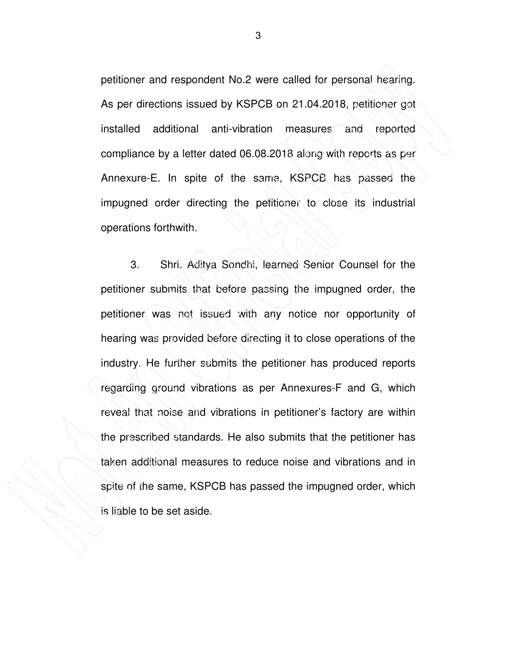petitioner and respondent No.2 were called for personal hearing. As per directions issued by KSPCB on 21.04.2018, petitioner got installed additional anti-vibration measures and reported compliance by a letter dated 06.08.2018 along with reports as per Annexure-E. In spite of the same, KSPCB has passed the impugned order directing the petitioner to close its industrial operations forthwith.

3. Shri. Aditya Sondhi, learned Senior Counsel for the petitioner submits that before passing the impugned order, the petitioner was not issued with any notice nor opportunity of hearing was provided before directing it to close operations of the industry. He further submits the petitioner has produced reports regarding ground vibrations as per Annexures-F and G, which reveal that noise and vibrations in petitioner's factory are within the prescribed standards. He also submits that the petitioner has taken additional measures to reduce noise and vibrations and in spite of the same, KSPCB has passed the impugned order, which is liable to be set aside.

3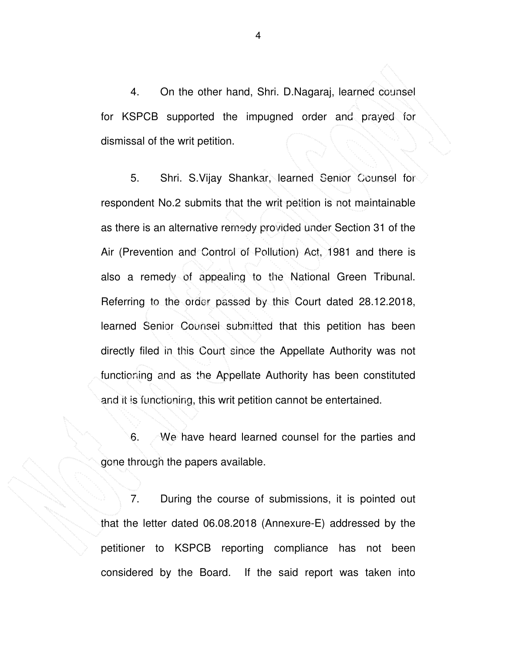4. On the other hand, Shri. D.Nagaraj, learned counsel for KSPCB supported the impugned order and prayed for dismissal of the writ petition.

 5. Shri. S.Vijay Shankar, learned Senior Counsel for respondent No.2 submits that the writ petition is not maintainable as there is an alternative remedy provided under Section 31 of the Air (Prevention and Control of Pollution) Act, 1981 and there is also a remedy of appealing to the National Green Tribunal. Referring to the order passed by this Court dated 28.12.2018, learned Senior Counsel submitted that this petition has been directly filed in this Court since the Appellate Authority was not functioning and as the Appellate Authority has been constituted and it is functioning, this writ petition cannot be entertained.

 6. We have heard learned counsel for the parties and gone through the papers available.

 7. During the course of submissions, it is pointed out that the letter dated 06.08.2018 (Annexure-E) addressed by the petitioner to KSPCB reporting compliance has not been considered by the Board. If the said report was taken into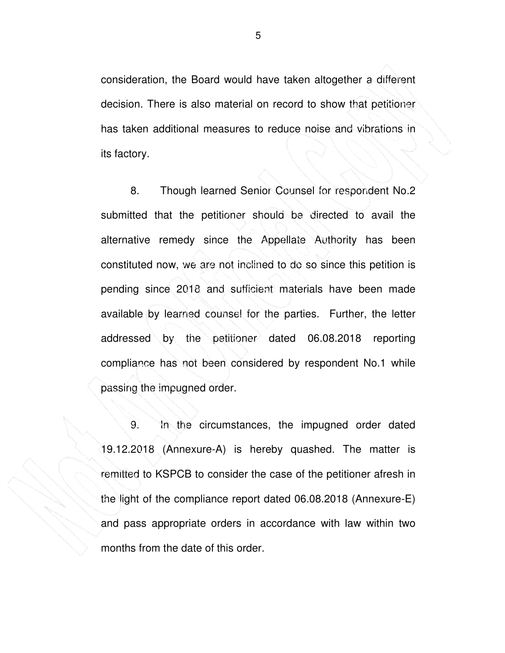consideration, the Board would have taken altogether a different decision. There is also material on record to show that petitioner has taken additional measures to reduce noise and vibrations in its factory.

 8. Though learned Senior Counsel for respondent No.2 submitted that the petitioner should be directed to avail the alternative remedy since the Appellate Authority has been constituted now, we are not inclined to do so since this petition is pending since 2018 and sufficient materials have been made available by learned counsel for the parties. Further, the letter addressed by the petitioner dated 06.08.2018 reporting compliance has not been considered by respondent No.1 while passing the impugned order.

9. In the circumstances, the impugned order dated 19.12.2018 (Annexure-A) is hereby quashed. The matter is remitted to KSPCB to consider the case of the petitioner afresh in the light of the compliance report dated 06.08.2018 (Annexure-E) and pass appropriate orders in accordance with law within two months from the date of this order.